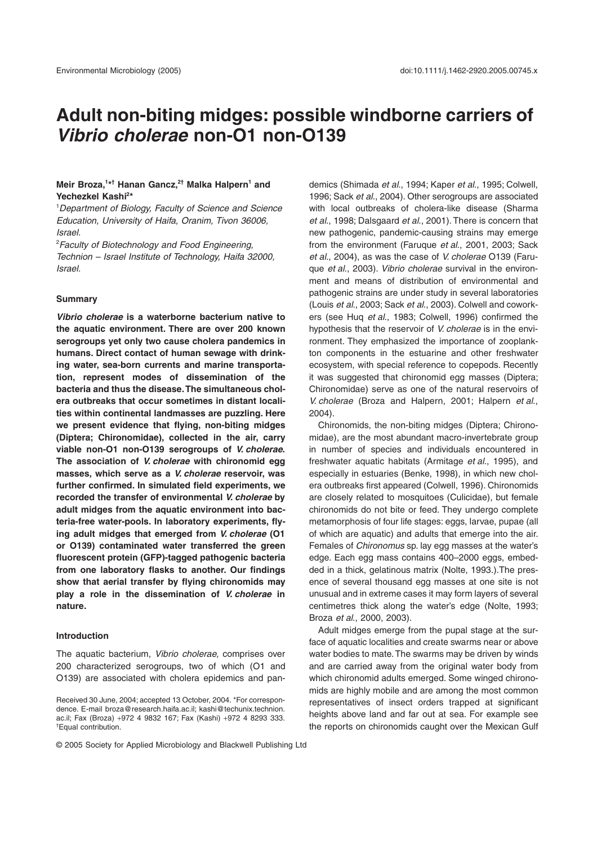# **Adult non-biting midges: possible windborne carriers of**  *Vibrio cholerae* **non-O1 non-O139**

# **Meir Broza,1 \* † Hanan Gancz,2† Malka Halpern1 and Yechezkel Kashi2 \***

1 *Department of Biology, Faculty of Science and Science Education, University of Haifa, Oranim, Tivon 36006, Israel.*

2 *Faculty of Biotechnology and Food Engineering, Technion – Israel Institute of Technology, Haifa 32000, Israel.*

#### **Summary**

*Vibrio cholerae* **is a waterborne bacterium native to the aquatic environment. There are over 200 known serogroups yet only two cause cholera pandemics in humans. Direct contact of human sewage with drinking water, sea-born currents and marine transportation, represent modes of dissemination of the bacteria and thus the disease. The simultaneous cholera outbreaks that occur sometimes in distant localities within continental landmasses are puzzling. Here we present evidence that flying, non-biting midges (Diptera; Chironomidae), collected in the air, carry viable non-O1 non-O139 serogroups of** *V. cholerae***. The association of** *V. cholerae* **with chironomid egg masses, which serve as a** *V. cholerae* **reservoir, was further confirmed. In simulated field experiments, we recorded the transfer of environmental** *V. cholerae* **by adult midges from the aquatic environment into bacteria-free water-pools. In laboratory experiments, flying adult midges that emerged from** *V. cholerae* **(O1 or O139) contaminated water transferred the green fluorescent protein (GFP)-tagged pathogenic bacteria from one laboratory flasks to another. Our findings show that aerial transfer by flying chironomids may play a role in the dissemination of** *V. cholerae* **in nature.**

#### **Introduction**

The aquatic bacterium, *Vibrio cholerae,* comprises over 200 characterized serogroups, two of which (O1 and O139) are associated with cholera epidemics and pandemics (Shimada *et al*., 1994; Kaper *et al*., 1995; Colwell, 1996; Sack *et al*., 2004). Other serogroups are associated with local outbreaks of cholera-like disease (Sharma *et al*., 1998; Dalsgaard *et al*., 2001). There is concern that new pathogenic, pandemic-causing strains may emerge from the environment (Faruque *et al*., 2001, 2003; Sack *et al*., 2004), as was the case of *V. cholerae* O139 (Faruque *et al*., 2003). *Vibrio cholerae* survival in the environment and means of distribution of environmental and pathogenic strains are under study in several laboratories (Louis *et al*., 2003; Sack *et al*., 2003). Colwell and coworkers (see Huq *et al*., 1983; Colwell, 1996) confirmed the hypothesis that the reservoir of *V. cholerae* is in the environment. They emphasized the importance of zooplankton components in the estuarine and other freshwater ecosystem, with special reference to copepods. Recently it was suggested that chironomid egg masses (Diptera; Chironomidae) serve as one of the natural reservoirs of *V. cholerae* (Broza and Halpern, 2001; Halpern *et al*., 2004).

Chironomids, the non-biting midges (Diptera; Chironomidae), are the most abundant macro-invertebrate group in number of species and individuals encountered in freshwater aquatic habitats (Armitage *et al*., 1995), and especially in estuaries (Benke, 1998), in which new cholera outbreaks first appeared (Colwell, 1996). Chironomids are closely related to mosquitoes (Culicidae), but female chironomids do not bite or feed. They undergo complete metamorphosis of four life stages: eggs, larvae, pupae (all of which are aquatic) and adults that emerge into the air. Females of *Chironomus* sp. lay egg masses at the water's edge. Each egg mass contains 400–2000 eggs, embedded in a thick, gelatinous matrix (Nolte, 1993.).The presence of several thousand egg masses at one site is not unusual and in extreme cases it may form layers of several centimetres thick along the water's edge (Nolte, 1993; Broza *et al*., 2000, 2003).

Adult midges emerge from the pupal stage at the surface of aquatic localities and create swarms near or above water bodies to mate. The swarms may be driven by winds and are carried away from the original water body from which chironomid adults emerged. Some winged chironomids are highly mobile and are among the most common representatives of insect orders trapped at significant heights above land and far out at sea. For example see the reports on chironomids caught over the Mexican Gulf

Received 30 June, 2004; accepted 13 October, 2004. \*For correspondence. E-mail broza@research.haifa.ac.il; kashi@techunix.technion. ac.il; Fax (Broza) +972 4 9832 167; Fax (Kashi) +972 4 8293 333. † Equal contribution.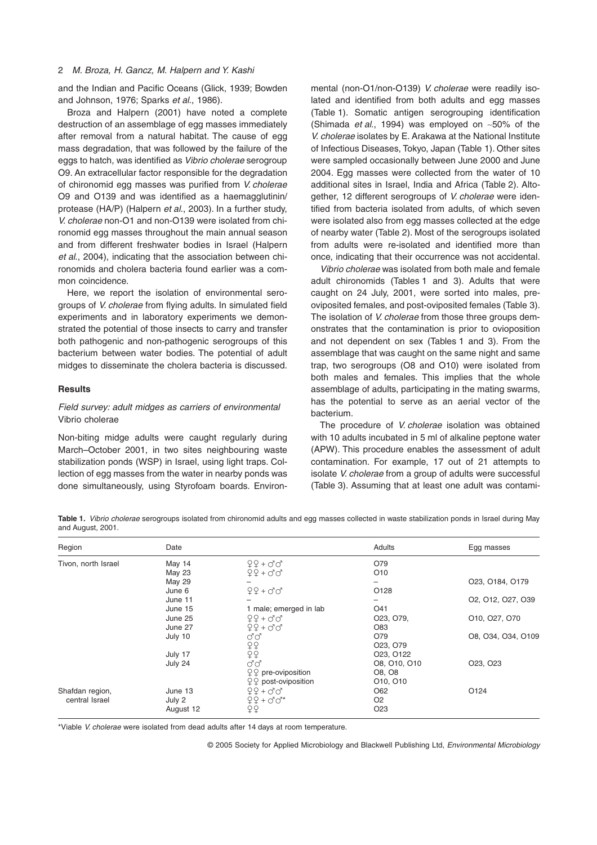and the Indian and Pacific Oceans (Glick, 1939; Bowden and Johnson, 1976; Sparks *et al*., 1986).

Broza and Halpern (2001) have noted a complete destruction of an assemblage of egg masses immediately after removal from a natural habitat. The cause of egg mass degradation, that was followed by the failure of the eggs to hatch, was identified as *Vibrio cholerae* serogroup O9. An extracellular factor responsible for the degradation of chironomid egg masses was purified from *V. cholerae* O9 and O139 and was identified as a haemagglutinin/ protease (HA/P) (Halpern *et al*., 2003). In a further study, *V. cholerae* non-O1 and non-O139 were isolated from chironomid egg masses throughout the main annual season and from different freshwater bodies in Israel (Halpern *et al*., 2004), indicating that the association between chironomids and cholera bacteria found earlier was a common coincidence.

Here, we report the isolation of environmental serogroups of *V. cholerae* from flying adults. In simulated field experiments and in laboratory experiments we demonstrated the potential of those insects to carry and transfer both pathogenic and non-pathogenic serogroups of this bacterium between water bodies. The potential of adult midges to disseminate the cholera bacteria is discussed.

# **Results**

# *Field survey: adult midges as carriers of environmental* Vibrio cholerae

Non-biting midge adults were caught regularly during March–October 2001, in two sites neighbouring waste stabilization ponds (WSP) in Israel, using light traps. Collection of egg masses from the water in nearby ponds was done simultaneously, using Styrofoam boards. Environmental (non-O1/non-O139) *V. cholerae* were readily isolated and identified from both adults and egg masses (Table 1). Somatic antigen serogrouping identification (Shimada *et al*., 1994) was employed on ~50% of the *V. cholerae* isolates by E. Arakawa at the National Institute of Infectious Diseases, Tokyo, Japan (Table 1). Other sites were sampled occasionally between June 2000 and June 2004. Egg masses were collected from the water of 10 additional sites in Israel, India and Africa (Table 2). Altogether, 12 different serogroups of *V. cholerae* were identified from bacteria isolated from adults, of which seven were isolated also from egg masses collected at the edge of nearby water (Table 2). Most of the serogroups isolated from adults were re-isolated and identified more than once, indicating that their occurrence was not accidental.

*Vibrio cholerae* was isolated from both male and female adult chironomids (Tables 1 and 3). Adults that were caught on 24 July, 2001, were sorted into males, preoviposited females, and post-oviposited females (Table 3). The isolation of *V. cholerae* from those three groups demonstrates that the contamination is prior to ovioposition and not dependent on sex (Tables 1 and 3). From the assemblage that was caught on the same night and same trap, two serogroups (O8 and O10) were isolated from both males and females. This implies that the whole assemblage of adults, participating in the mating swarms, has the potential to serve as an aerial vector of the bacterium.

The procedure of *V. cholerae* isolation was obtained with 10 adults incubated in 5 ml of alkaline peptone water (APW). This procedure enables the assessment of adult contamination. For example, 17 out of 21 attempts to isolate *V. cholerae* from a group of adults were successful (Table 3). Assuming that at least one adult was contami-

**Table 1.** *Vibrio cholerae* serogroups isolated from chironomid adults and egg masses collected in waste stabilization ponds in Israel during May and August, 2001.

| Region              | Date          |                                                                                                        | Adults                              | Egg masses         |
|---------------------|---------------|--------------------------------------------------------------------------------------------------------|-------------------------------------|--------------------|
| Tivon, north Israel | May 14        | $99 + 90$                                                                                              | O79                                 |                    |
|                     | May 23        | $99 + 97$                                                                                              | O10                                 |                    |
|                     | <b>May 29</b> |                                                                                                        |                                     | O23, O184, O179    |
|                     | June 6        | $99 + 00$                                                                                              | O <sub>128</sub>                    |                    |
|                     | June 11       |                                                                                                        |                                     | O2, O12, O27, O39  |
|                     | June 15       | 1 male; emerged in lab                                                                                 | O41                                 |                    |
|                     | June 25       | $99 + 90$                                                                                              | O <sub>23</sub> , O <sub>79</sub> , | O10, O27, O70      |
|                     | June 27       | $99 + 00$                                                                                              | O83                                 |                    |
|                     | July 10       | ďď                                                                                                     | O79                                 | O8, O34, O34, O109 |
|                     |               |                                                                                                        | O <sub>23</sub> , O <sub>79</sub>   |                    |
|                     | July 17       | $\begin{array}{c} \n\varphi \rightarrow \\ \n\varphi \rightarrow \\ \n\varphi \rightarrow \end{array}$ | O <sub>23</sub> , O <sub>122</sub>  |                    |
|                     | July 24       | ರೆ ರೆ                                                                                                  | O8, O10, O10                        | O23, O23           |
|                     |               | $QQ$ pre-oviposition                                                                                   | O8, O8                              |                    |
|                     |               | $99$ post-oviposition                                                                                  | O10, O10                            |                    |
| Shafdan region,     | June 13       | $99 + 90$                                                                                              | O62                                 | O <sub>124</sub>   |
| central Israel      | July 2        | $99 + 00*$                                                                                             | O <sub>2</sub>                      |                    |
|                     | August 12     | 99                                                                                                     | O <sub>23</sub>                     |                    |

\*Viable *V. cholerae* were isolated from dead adults after 14 days at room temperature.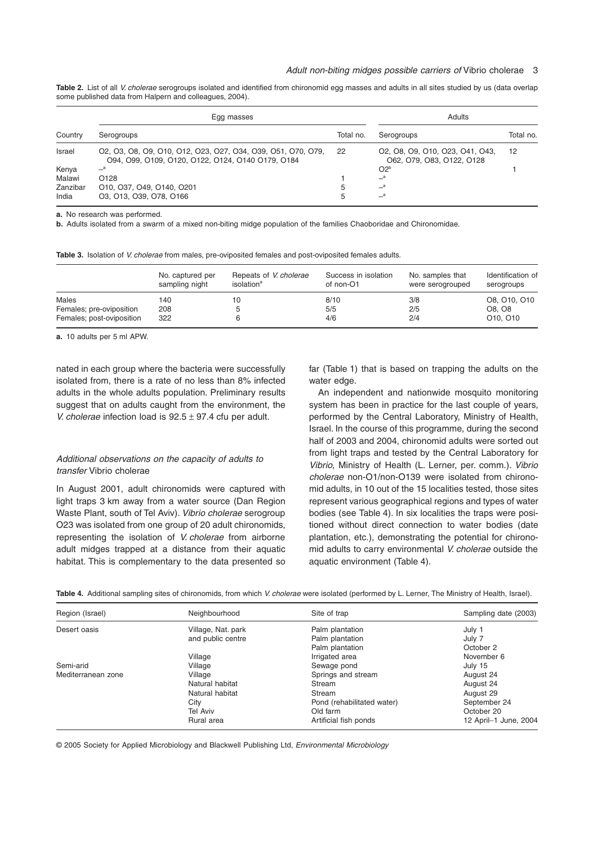**Table 2.** List of all *V. cholerae* serogroups isolated and identified from chironomid egg masses and adults in all sites studied by us (data overlap some published data from Halpern and colleagues, 2004).

|          | Egg masses                                                                                                        | Adults    |                                                              |           |
|----------|-------------------------------------------------------------------------------------------------------------------|-----------|--------------------------------------------------------------|-----------|
| Country  | Serogroups                                                                                                        | Total no. | Serogroups                                                   | Total no. |
| Israel   | 02, 03, 08, 09, 010, 012, 023, 027, 034, 039, 051, 070, 079,<br>094, 099, 0109, 0120, 0122, 0124, 0140 0179, 0184 | 22        | 02, 08, 09, 010, 023, 041, 043,<br>062, 079, 083, 0122, 0128 | 12        |
| Kenya    | $-{}^a$                                                                                                           |           | $O2^b$                                                       |           |
| Malawi   | O <sub>128</sub>                                                                                                  |           | $\equiv$ <sup>a</sup>                                        |           |
| Zanzibar | 010, 037, 049, 0140, 0201                                                                                         | 5         | $-{}^a$                                                      |           |
| India    | 03, 013, 039, 078, 0166                                                                                           | 5         | $\equiv$ <sup>a</sup>                                        |           |

**a.** No research was performed.

**b.** Adults isolated from a swarm of a mixed non-biting midge population of the families Chaoboridae and Chironomidae.

|  |  |  |  |  |  | Table 3. Isolation of V. cholerae from males, pre-oviposited females and post-oviposited females adults. |
|--|--|--|--|--|--|----------------------------------------------------------------------------------------------------------|
|--|--|--|--|--|--|----------------------------------------------------------------------------------------------------------|

|                           | No. captured per<br>sampling night | Repeats of V. cholerae<br>isolation <sup>a</sup> | Success in isolation<br>of non-O1 | No. samples that<br>were serogrouped | Identification of<br>serogroups   |
|---------------------------|------------------------------------|--------------------------------------------------|-----------------------------------|--------------------------------------|-----------------------------------|
| Males                     | 140                                | 10                                               | 8/10                              | 3/8                                  | O8, O10, O10                      |
| Females; pre-oviposition  | 208                                | 5                                                | 5/5                               | 2/5                                  | O8. O8                            |
| Females; post-oviposition | 322                                | ൳                                                | 4/6                               | 2/4                                  | O <sub>10</sub> , O <sub>10</sub> |

**a.** 10 adults per 5 ml APW.

nated in each group where the bacteria were successfully isolated from, there is a rate of no less than 8% infected adults in the whole adults population. Preliminary results suggest that on adults caught from the environment, the *V. cholerae* infection load is 92.5 ± 97.4 cfu per adult.

# *Additional observations on the capacity of adults to transfer* Vibrio cholerae

In August 2001, adult chironomids were captured with light traps 3 km away from a water source (Dan Region Waste Plant, south of Tel Aviv). *Vibrio cholerae* serogroup O23 was isolated from one group of 20 adult chironomids, representing the isolation of *V. cholerae* from airborne adult midges trapped at a distance from their aquatic habitat. This is complementary to the data presented so far (Table 1) that is based on trapping the adults on the water edge.

An independent and nationwide mosquito monitoring system has been in practice for the last couple of years, performed by the Central Laboratory, Ministry of Health, Israel. In the course of this programme, during the second half of 2003 and 2004, chironomid adults were sorted out from light traps and tested by the Central Laboratory for *Vibrio*, Ministry of Health (L. Lerner, per. comm.). *Vibrio cholerae* non-O1/non-O139 were isolated from chironomid adults, in 10 out of the 15 localities tested, those sites represent various geographical regions and types of water bodies (see Table 4). In six localities the traps were positioned without direct connection to water bodies (date plantation, etc.), demonstrating the potential for chironomid adults to carry environmental *V. cholerae* outside the aquatic environment (Table 4).

|  | Table 4. Additional sampling sites of chironomids, from which V. cholerae were isolated (performed by L. Lerner, The Ministry of Health, Israel). |  |
|--|---------------------------------------------------------------------------------------------------------------------------------------------------|--|
|  |                                                                                                                                                   |  |

| Region (Israel)    | Neighbourhood      | Site of trap               | Sampling date (2003)  |
|--------------------|--------------------|----------------------------|-----------------------|
| Desert oasis       | Village, Nat. park | Palm plantation            | July 1                |
|                    | and public centre  | Palm plantation            | July 7                |
|                    |                    | Palm plantation            | October 2             |
|                    | Village            | Irrigated area             | November 6            |
| Semi-arid          | Village            | Sewage pond                | July 15               |
| Mediterranean zone | Village            | Springs and stream         | August 24             |
|                    | Natural habitat    | Stream                     | August 24             |
|                    | Natural habitat    | Stream                     | August 29             |
|                    | City               | Pond (rehabilitated water) | September 24          |
|                    | <b>Tel Aviv</b>    | Old farm                   | October 20            |
|                    | Rural area         | Artificial fish ponds      | 12 April-1 June, 2004 |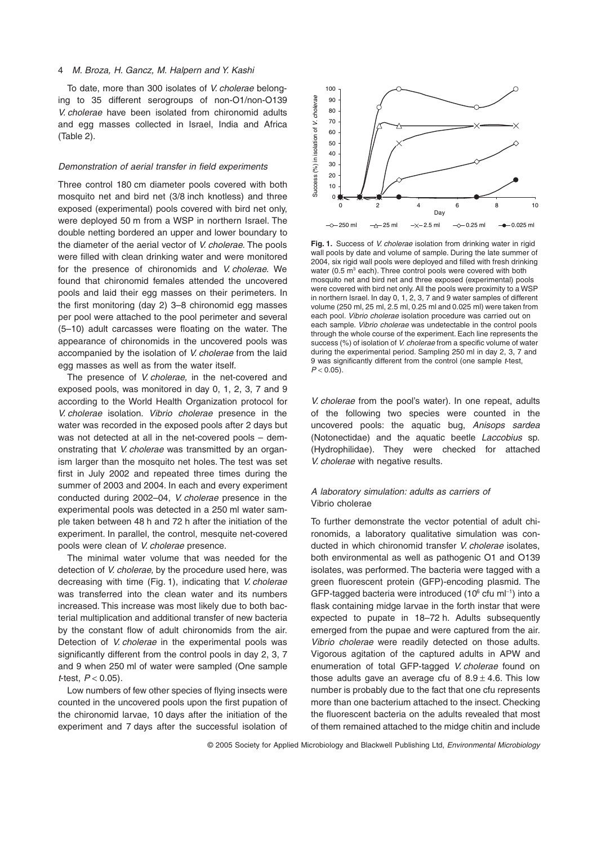# 4 *M. Broza, H. Gancz, M. Halpern and Y. Kashi*

To date, more than 300 isolates of *V. cholerae* belonging to 35 different serogroups of non-O1/non-O139 *V. cholerae* have been isolated from chironomid adults and egg masses collected in Israel, India and Africa (Table 2).

# *Demonstration of aerial transfer in field experiments*

Three control 180 cm diameter pools covered with both mosquito net and bird net (3/8 inch knotless) and three exposed (experimental) pools covered with bird net only, were deployed 50 m from a WSP in northern Israel. The double netting bordered an upper and lower boundary to the diameter of the aerial vector of *V. cholerae.* The pools were filled with clean drinking water and were monitored for the presence of chironomids and *V. cholerae*. We found that chironomid females attended the uncovered pools and laid their egg masses on their perimeters. In the first monitoring (day 2) 3–8 chironomid egg masses per pool were attached to the pool perimeter and several (5–10) adult carcasses were floating on the water. The appearance of chironomids in the uncovered pools was accompanied by the isolation of *V. cholerae* from the laid egg masses as well as from the water itself.

The presence of *V. cholerae,* in the net-covered and exposed pools, was monitored in day 0, 1, 2, 3, 7 and 9 according to the World Health Organization protocol for *V. cholerae* isolation. *Vibrio cholerae* presence in the water was recorded in the exposed pools after 2 days but was not detected at all in the net-covered pools – demonstrating that *V. cholerae* was transmitted by an organism larger than the mosquito net holes. The test was set first in July 2002 and repeated three times during the summer of 2003 and 2004. In each and every experiment conducted during 2002–04, *V. cholerae* presence in the experimental pools was detected in a 250 ml water sample taken between 48 h and 72 h after the initiation of the experiment. In parallel, the control, mesquite net-covered pools were clean of *V. cholerae* presence.

The minimal water volume that was needed for the detection of *V. cholerae,* by the procedure used here, was decreasing with time (Fig. 1), indicating that *V. cholerae* was transferred into the clean water and its numbers increased. This increase was most likely due to both bacterial multiplication and additional transfer of new bacteria by the constant flow of adult chironomids from the air. Detection of *V. cholerae* in the experimental pools was significantly different from the control pools in day 2, 3, 7 and 9 when 250 ml of water were sampled (One sample *t*-test, *P* < 0.05).

Low numbers of few other species of flying insects were counted in the uncovered pools upon the first pupation of the chironomid larvae, 10 days after the initiation of the experiment and 7 days after the successful isolation of



**Fig. 1.** Success of *V. cholerae* isolation from drinking water in rigid wall pools by date and volume of sample. During the late summer of 2004, six rigid wall pools were deployed and filled with fresh drinking water (0.5  $m^3$  each). Three control pools were covered with both mosquito net and bird net and three exposed (experimental) pools were covered with bird net only. All the pools were proximity to a WSP in northern Israel. In day 0, 1, 2, 3, 7 and 9 water samples of different volume (250 ml, 25 ml, 2.5 ml, 0.25 ml and 0.025 ml) were taken from each pool. *Vibrio cholerae* isolation procedure was carried out on each sample. *Vibrio cholerae* was undetectable in the control pools through the whole course of the experiment. Each line represents the success (%) of isolation of *V. cholerae* from a specific volume of water during the experimental period. Sampling 250 ml in day 2, 3, 7 and 9 was significantly different from the control (one sample *t*-test,  $P < 0.05$ ).

*V. cholerae* from the pool's water). In one repeat, adults of the following two species were counted in the uncovered pools: the aquatic bug, *Anisops sardea* (Notonectidae) and the aquatic beetle *Laccobius* sp. (Hydrophilidae). They were checked for attached *V. cholerae* with negative results.

# *A laboratory simulation: adults as carriers of* Vibrio cholerae

To further demonstrate the vector potential of adult chironomids, a laboratory qualitative simulation was conducted in which chironomid transfer *V. cholerae* isolates, both environmental as well as pathogenic O1 and O139 isolates, was performed. The bacteria were tagged with a green fluorescent protein (GFP)-encoding plasmid. The GFP-tagged bacteria were introduced (10 $^{\circ}$  cfu ml<sup>-1</sup>) into a flask containing midge larvae in the forth instar that were expected to pupate in 18–72 h. Adults subsequently emerged from the pupae and were captured from the air. *Vibrio cholerae* were readily detected on those adults. Vigorous agitation of the captured adults in APW and enumeration of total GFP-tagged *V. cholerae* found on those adults gave an average cfu of  $8.9 \pm 4.6$ . This low number is probably due to the fact that one cfu represents more than one bacterium attached to the insect. Checking the fluorescent bacteria on the adults revealed that most of them remained attached to the midge chitin and include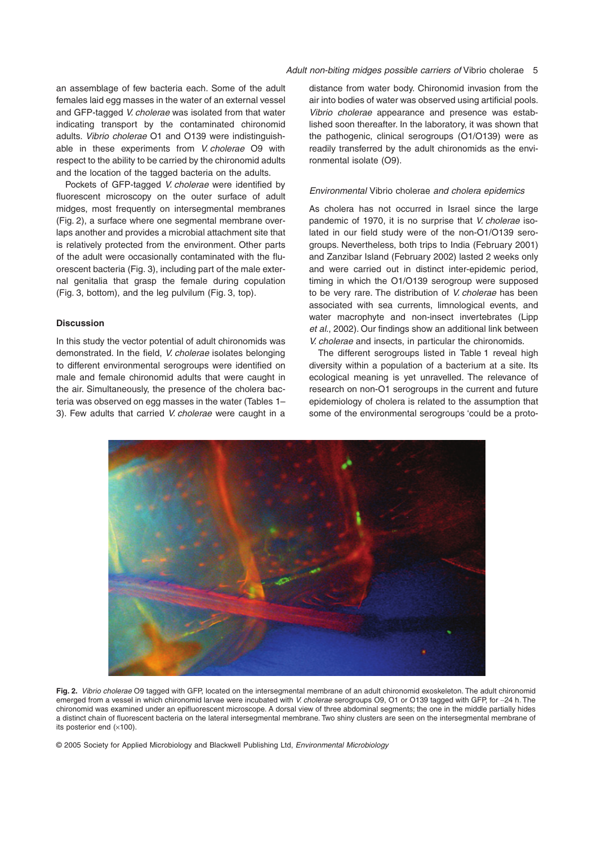an assemblage of few bacteria each. Some of the adult females laid egg masses in the water of an external vessel and GFP-tagged *V. cholerae* was isolated from that water indicating transport by the contaminated chironomid adults. *Vibrio cholerae* O1 and O139 were indistinguishable in these experiments from *V. cholerae* O9 with respect to the ability to be carried by the chironomid adults and the location of the tagged bacteria on the adults.

Pockets of GFP-tagged *V. cholerae* were identified by fluorescent microscopy on the outer surface of adult midges, most frequently on intersegmental membranes (Fig. 2), a surface where one segmental membrane overlaps another and provides a microbial attachment site that is relatively protected from the environment. Other parts of the adult were occasionally contaminated with the fluorescent bacteria (Fig. 3), including part of the male external genitalia that grasp the female during copulation (Fig. 3, bottom), and the leg pulvilum (Fig. 3, top).

# **Discussion**

In this study the vector potential of adult chironomids was demonstrated. In the field, *V. cholerae* isolates belonging to different environmental serogroups were identified on male and female chironomid adults that were caught in the air. Simultaneously, the presence of the cholera bacteria was observed on egg masses in the water (Tables 1– 3). Few adults that carried *V. cholerae* were caught in a

distance from water body. Chironomid invasion from the air into bodies of water was observed using artificial pools. *Vibrio cholerae* appearance and presence was established soon thereafter. In the laboratory, it was shown that the pathogenic, clinical serogroups (O1/O139) were as readily transferred by the adult chironomids as the environmental isolate (O9).

# *Environmental* Vibrio cholerae *and cholera epidemics*

As cholera has not occurred in Israel since the large pandemic of 1970, it is no surprise that *V. cholerae* isolated in our field study were of the non-O1/O139 serogroups. Nevertheless, both trips to India (February 2001) and Zanzibar Island (February 2002) lasted 2 weeks only and were carried out in distinct inter-epidemic period, timing in which the O1/O139 serogroup were supposed to be very rare. The distribution of *V. cholerae* has been associated with sea currents, limnological events, and water macrophyte and non-insect invertebrates (Lipp *et al*., 2002). Our findings show an additional link between *V. cholerae* and insects, in particular the chironomids.

The different serogroups listed in Table 1 reveal high diversity within a population of a bacterium at a site. Its ecological meaning is yet unravelled. The relevance of research on non-O1 serogroups in the current and future epidemiology of cholera is related to the assumption that some of the environmental serogroups 'could be a proto-



**Fig. 2.** *Vibrio cholerae* O9 tagged with GFP, located on the intersegmental membrane of an adult chironomid exoskeleton. The adult chironomid emerged from a vessel in which chironomid larvae were incubated with *V. cholerae* serogroups O9, O1 or O139 tagged with GFP, for ~24 h. The chironomid was examined under an epifluorescent microscope. A dorsal view of three abdominal segments; the one in the middle partially hides a distinct chain of fluorescent bacteria on the lateral intersegmental membrane. Two shiny clusters are seen on the intersegmental membrane of its posterior end  $(x100)$ .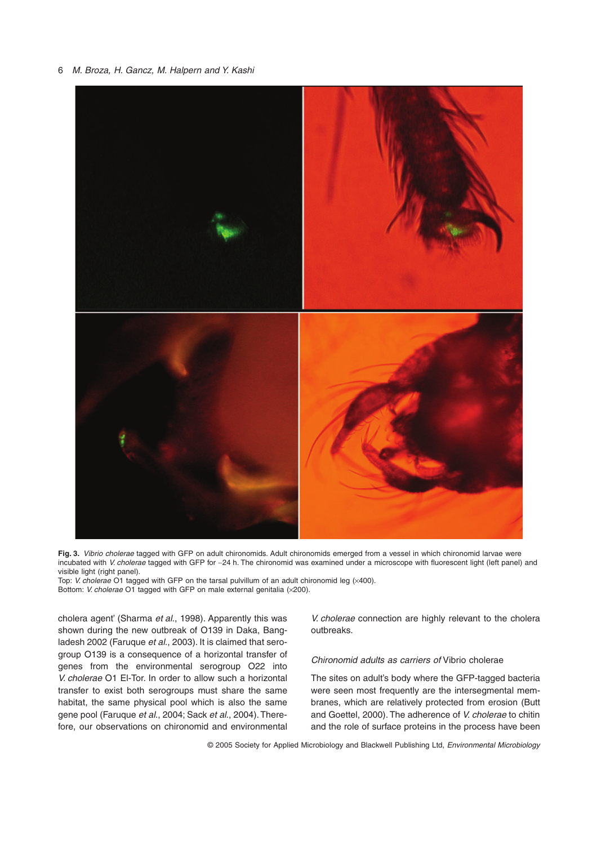

**Fig. 3.** *Vibrio cholerae* tagged with GFP on adult chironomids. Adult chironomids emerged from a vessel in which chironomid larvae were incubated with *V. cholerae* tagged with GFP for ~24 h. The chironomid was examined under a microscope with fluorescent light (left panel) and visible light (right panel).

Top: *V. cholerae* O1 tagged with GFP on the tarsal pulvillum of an adult chironomid leg (x400). Bottom: *V. cholerae* O1 tagged with GFP on male external genitalia (×200).

cholera agent' (Sharma *et al*., 1998). Apparently this was shown during the new outbreak of O139 in Daka, Bangladesh 2002 (Faruque *et al*., 2003). It is claimed that serogroup O139 is a consequence of a horizontal transfer of genes from the environmental serogroup O22 into *V. cholerae* O1 El-Tor. In order to allow such a horizontal transfer to exist both serogroups must share the same habitat, the same physical pool which is also the same gene pool (Faruque *et al*., 2004; Sack *et al*., 2004). Therefore, our observations on chironomid and environmental

*V. cholerae* connection are highly relevant to the cholera outbreaks.

*Chironomid adults as carriers of* Vibrio cholerae

The sites on adult's body where the GFP-tagged bacteria were seen most frequently are the intersegmental membranes, which are relatively protected from erosion (Butt and Goettel, 2000). The adherence of *V. cholerae* to chitin and the role of surface proteins in the process have been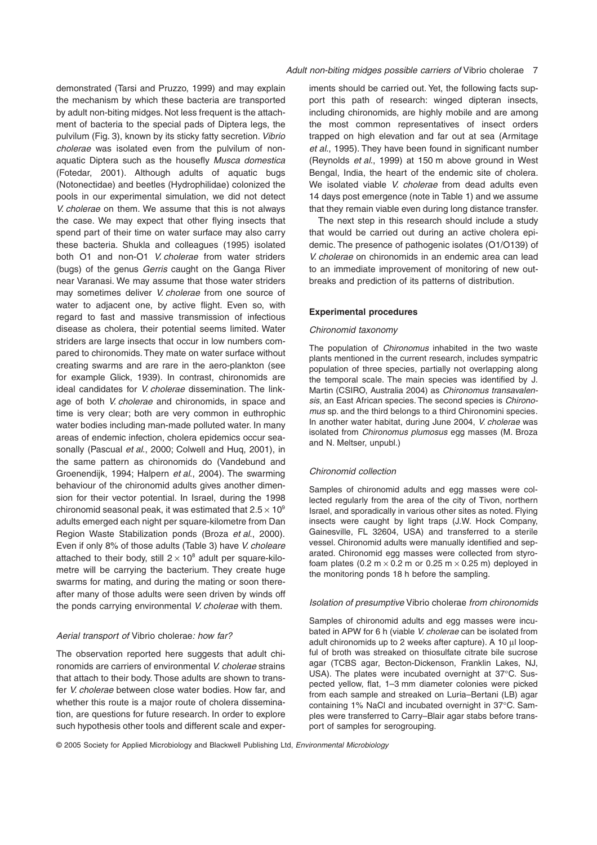demonstrated (Tarsi and Pruzzo, 1999) and may explain the mechanism by which these bacteria are transported by adult non-biting midges. Not less frequent is the attachment of bacteria to the special pads of Diptera legs, the pulvilum (Fig. 3), known by its sticky fatty secretion. *Vibrio cholerae* was isolated even from the pulvilum of nonaquatic Diptera such as the housefly *Musca domestica* (Fotedar, 2001). Although adults of aquatic bugs (Notonectidae) and beetles (Hydrophilidae) colonized the pools in our experimental simulation, we did not detect *V. cholerae* on them. We assume that this is not always the case. We may expect that other flying insects that spend part of their time on water surface may also carry these bacteria. Shukla and colleagues (1995) isolated both O1 and non-O1 *V. cholerae* from water striders (bugs) of the genus *Gerris* caught on the Ganga River near Varanasi. We may assume that those water striders may sometimes deliver *V. cholerae* from one source of water to adjacent one, by active flight. Even so, with regard to fast and massive transmission of infectious disease as cholera, their potential seems limited. Water striders are large insects that occur in low numbers compared to chironomids. They mate on water surface without creating swarms and are rare in the aero-plankton (see for example Glick, 1939). In contrast, chironomids are ideal candidates for *V. cholerae* dissemination. The linkage of both *V. cholerae* and chironomids, in space and time is very clear; both are very common in euthrophic water bodies including man-made polluted water. In many areas of endemic infection, cholera epidemics occur seasonally (Pascual *et al*., 2000; Colwell and Huq, 2001), in the same pattern as chironomids do (Vandebund and Groenendijk, 1994; Halpern *et al*., 2004). The swarming behaviour of the chironomid adults gives another dimension for their vector potential. In Israel, during the 1998 chironomid seasonal peak, it was estimated that  $2.5 \times 10^9$ adults emerged each night per square-kilometre from Dan Region Waste Stabilization ponds (Broza *et al*., 2000). Even if only 8% of those adults (Table 3) have *V. choleare* attached to their body, still  $2 \times 10^8$  adult per square-kilometre will be carrying the bacterium. They create huge swarms for mating, and during the mating or soon thereafter many of those adults were seen driven by winds off the ponds carrying environmental *V. cholerae* with them.

## *Aerial transport of* Vibrio cholerae*: how far?*

The observation reported here suggests that adult chironomids are carriers of environmental *V. cholerae* strains that attach to their body. Those adults are shown to transfer *V. cholerae* between close water bodies. How far, and whether this route is a major route of cholera dissemination, are questions for future research. In order to explore such hypothesis other tools and different scale and experiments should be carried out. Yet, the following facts support this path of research: winged dipteran insects, including chironomids, are highly mobile and are among the most common representatives of insect orders trapped on high elevation and far out at sea (Armitage *et al*., 1995). They have been found in significant number (Reynolds *et al*., 1999) at 150 m above ground in West Bengal, India, the heart of the endemic site of cholera. We isolated viable *V. cholerae* from dead adults even 14 days post emergence (note in Table 1) and we assume that they remain viable even during long distance transfer.

The next step in this research should include a study that would be carried out during an active cholera epidemic. The presence of pathogenic isolates (O1/O139) of *V. cholerae* on chironomids in an endemic area can lead to an immediate improvement of monitoring of new outbreaks and prediction of its patterns of distribution.

# **Experimental procedures**

#### *Chironomid taxonomy*

The population of *Chironomus* inhabited in the two waste plants mentioned in the current research, includes sympatric population of three species, partially not overlapping along the temporal scale. The main species was identified by J. Martin (CSIRO, Australia 2004) as *Chironomus transavalensis*, an East African species. The second species is *Chironomus* sp. and the third belongs to a third Chironomini species. In another water habitat, during June 2004, *V. cholerae* was isolated from *Chironomus plumosus* egg masses (M. Broza and N. Meltser, unpubl.)

#### *Chironomid collection*

Samples of chironomid adults and egg masses were collected regularly from the area of the city of Tivon, northern Israel, and sporadically in various other sites as noted. Flying insects were caught by light traps (J.W. Hock Company, Gainesville, FL 32604, USA) and transferred to a sterile vessel. Chironomid adults were manually identified and separated. Chironomid egg masses were collected from styrofoam plates (0.2 m  $\times$  0.2 m or 0.25 m  $\times$  0.25 m) deployed in the monitoring ponds 18 h before the sampling.

#### *Isolation of presumptive* Vibrio cholerae *from chironomids*

Samples of chironomid adults and egg masses were incubated in APW for 6 h (viable *V. cholerae* can be isolated from adult chironomids up to 2 weeks after capture). A 10  $\mu$ l loopful of broth was streaked on thiosulfate citrate bile sucrose agar (TCBS agar, Becton-Dickenson, Franklin Lakes, NJ, USA). The plates were incubated overnight at 37∞C. Suspected yellow, flat, 1–3 mm diameter colonies were picked from each sample and streaked on Luria–Bertani (LB) agar containing 1% NaCl and incubated overnight in 37∞C. Samples were transferred to Carry–Blair agar stabs before transport of samples for serogrouping.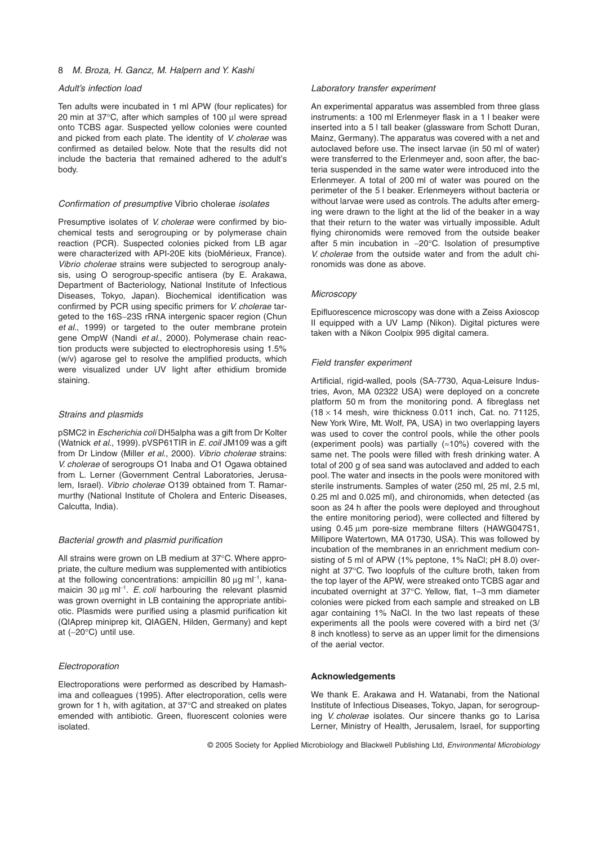# *Adult's infection load*

Ten adults were incubated in 1 ml APW (four replicates) for 20 min at 37°C, after which samples of 100 µl were spread onto TCBS agar. Suspected yellow colonies were counted and picked from each plate. The identity of *V. cholerae* was confirmed as detailed below. Note that the results did not include the bacteria that remained adhered to the adult's body.

#### *Confirmation of presumptive* Vibrio cholerae *isolates*

Presumptive isolates of *V. cholerae* were confirmed by biochemical tests and serogrouping or by polymerase chain reaction (PCR). Suspected colonies picked from LB agar were characterized with API-20E kits (bioMérieux, France). *Vibrio cholerae* strains were subjected to serogroup analysis, using O serogroup-specific antisera (by E. Arakawa, Department of Bacteriology, National Institute of Infectious Diseases, Tokyo, Japan). Biochemical identification was confirmed by PCR using specific primers for *V. cholerae* targeted to the 16S-23S rRNA intergenic spacer region (Chun *et al*., 1999) or targeted to the outer membrane protein gene OmpW (Nandi *et al*., 2000). Polymerase chain reaction products were subjected to electrophoresis using 1.5% (w/v) agarose gel to resolve the amplified products, which were visualized under UV light after ethidium bromide staining.

#### *Strains and plasmids*

pSMC2 in *Escherichia coli* DH5alpha was a gift from Dr Kolter (Watnick *et al*., 1999). pVSP61TIR in *E. coil* JM109 was a gift from Dr Lindow (Miller *et al*., 2000). *Vibrio cholerae* strains: *V. cholerae* of serogroups O1 Inaba and O1 Ogawa obtained from L. Lerner (Government Central Laboratories, Jerusalem, Israel). *Vibrio cholerae* O139 obtained from T. Ramarmurthy (National Institute of Cholera and Enteric Diseases, Calcutta, India).

## *Bacterial growth and plasmid purification*

All strains were grown on LB medium at 37∞C. Where appropriate, the culture medium was supplemented with antibiotics at the following concentrations: ampicillin 80 µg ml<sup>-1</sup>, kanamaicin 30 µg ml<sup>-1</sup>. E. coli harbouring the relevant plasmid was grown overnight in LB containing the appropriate antibiotic. Plasmids were purified using a plasmid purification kit (QIAprep miniprep kit, QIAGEN, Hilden, Germany) and kept at  $(-20^{\circ}C)$  until use.

# *Electroporation*

Electroporations were performed as described by Hamashima and colleagues (1995). After electroporation, cells were grown for 1 h, with agitation, at 37∞C and streaked on plates emended with antibiotic. Green, fluorescent colonies were isolated.

#### *Laboratory transfer experiment*

An experimental apparatus was assembled from three glass instruments: a 100 ml Erlenmeyer flask in a 1 l beaker were inserted into a 5 l tall beaker (glassware from Schott Duran, Mainz, Germany). The apparatus was covered with a net and autoclaved before use. The insect larvae (in 50 ml of water) were transferred to the Erlenmeyer and, soon after, the bacteria suspended in the same water were introduced into the Erlenmeyer. A total of 200 ml of water was poured on the perimeter of the 5 l beaker. Erlenmeyers without bacteria or without larvae were used as controls. The adults after emerging were drawn to the light at the lid of the beaker in a way that their return to the water was virtually impossible. Adult flying chironomids were removed from the outside beaker after 5 min incubation in -20∞C. Isolation of presumptive *V. cholerae* from the outside water and from the adult chironomids was done as above.

#### *Microscopy*

Epifluorescence microscopy was done with a Zeiss Axioscop II equipped with a UV Lamp (Nikon). Digital pictures were taken with a Nikon Coolpix 995 digital camera.

#### *Field transfer experiment*

Artificial, rigid-walled, pools (SA-7730, Aqua-Leisure Industries, Avon, MA 02322 USA) were deployed on a concrete platform 50 m from the monitoring pond. A fibreglass net  $(18 \times 14$  mesh, wire thickness 0.011 inch, Cat. no. 71125, New York Wire, Mt. Wolf, PA, USA) in two overlapping layers was used to cover the control pools, while the other pools (experiment pools) was partially  $(*10%)$  covered with the same net. The pools were filled with fresh drinking water. A total of 200 g of sea sand was autoclaved and added to each pool. The water and insects in the pools were monitored with sterile instruments. Samples of water (250 ml, 25 ml, 2.5 ml, 0.25 ml and 0.025 ml), and chironomids, when detected (as soon as 24 h after the pools were deployed and throughout the entire monitoring period), were collected and filtered by using 0.45 µm pore-size membrane filters (HAWG047S1, Millipore Watertown, MA 01730, USA). This was followed by incubation of the membranes in an enrichment medium consisting of 5 ml of APW (1% peptone, 1% NaCl; pH 8.0) overnight at 37∞C. Two loopfuls of the culture broth, taken from the top layer of the APW, were streaked onto TCBS agar and incubated overnight at 37∞C. Yellow, flat, 1–3 mm diameter colonies were picked from each sample and streaked on LB agar containing 1% NaCl. In the two last repeats of these experiments all the pools were covered with a bird net (3/ 8 inch knotless) to serve as an upper limit for the dimensions of the aerial vector.

#### **Acknowledgements**

We thank E. Arakawa and H. Watanabi, from the National Institute of Infectious Diseases, Tokyo, Japan, for serogrouping *V. cholerae* isolates. Our sincere thanks go to Larisa Lerner, Ministry of Health, Jerusalem, Israel, for supporting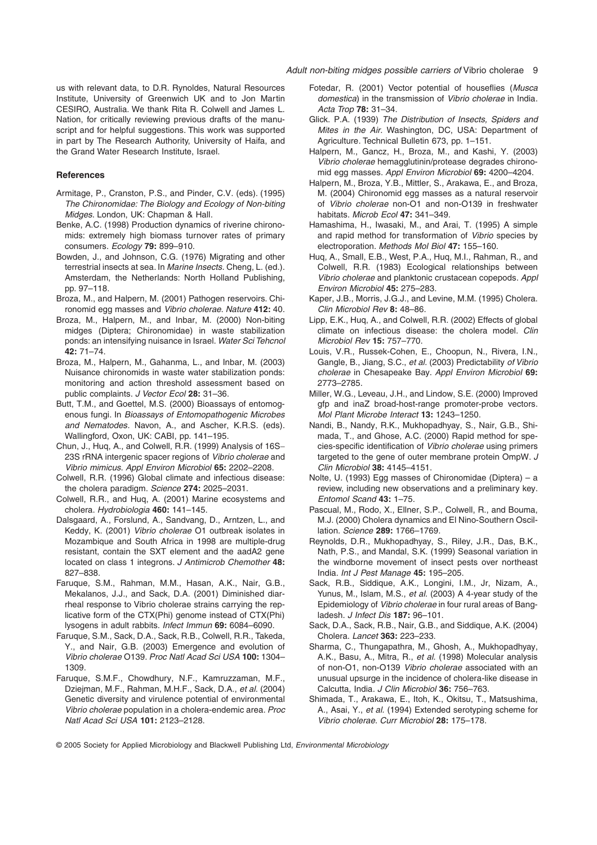us with relevant data, to D.R. Rynoldes, Natural Resources Institute, University of Greenwich UK and to Jon Martin CESIRO, Australia. We thank Rita R. Colwell and James L. Nation, for critically reviewing previous drafts of the manuscript and for helpful suggestions. This work was supported in part by The Research Authority, University of Haifa, and the Grand Water Research Institute, Israel.

#### **References**

- Armitage, P., Cranston, P.S., and Pinder, C.V. (eds). (1995) *The Chironomidae: The Biology and Ecology of Non-biting Midges*. London, UK: Chapman & Hall.
- Benke, A.C. (1998) Production dynamics of riverine chironomids: extremely high biomass turnover rates of primary consumers. *Ecology* **79:** 899–910.
- Bowden, J., and Johnson, C.G. (1976) Migrating and other terrestrial insects at sea. In *Marine Insects.* Cheng, L. (ed.). Amsterdam, the Netherlands: North Holland Publishing, pp. 97–118.
- Broza, M., and Halpern, M. (2001) Pathogen reservoirs. Chironomid egg masses and *Vibrio cholerae*. *Nature* **412:** 40.
- Broza, M., Halpern, M., and Inbar, M. (2000) Non-biting midges (Diptera; Chironomidae) in waste stabilization ponds: an intensifying nuisance in Israel. *Water Sci Tehcnol* **42:** 71–74.
- Broza, M., Halpern, M., Gahanma, L., and Inbar, M. (2003) Nuisance chironomids in waste water stabilization ponds: monitoring and action threshold assessment based on public complaints. *J Vector Ecol* **28:** 31–36.
- Butt, T.M., and Goettel, M.S. (2000) Bioassays of entomogenous fungi. In *Bioassays of Entomopathogenic Microbes and Nematodes.* Navon, A., and Ascher, K.R.S. (eds). Wallingford, Oxon, UK: CABI, pp. 141–195.
- Chun, J., Huq, A., and Colwell, R.R. (1999) Analysis of 16S-23S rRNA intergenic spacer regions of *Vibrio cholerae* and *Vibrio mimicus*. *Appl Environ Microbiol* **65:** 2202–2208.
- Colwell, R.R. (1996) Global climate and infectious disease: the cholera paradigm. *Science* **274:** 2025–2031.
- Colwell, R.R., and Huq, A. (2001) Marine ecosystems and cholera. *Hydrobiologia* **460:** 141–145.
- Dalsgaard, A., Forslund, A., Sandvang, D., Arntzen, L., and Keddy, K. (2001) *Vibrio cholerae* O1 outbreak isolates in Mozambique and South Africa in 1998 are multiple-drug resistant, contain the SXT element and the aadA2 gene located on class 1 integrons. *J Antimicrob Chemother* **48:** 827–838.
- Faruque, S.M., Rahman, M.M., Hasan, A.K., Nair, G.B., Mekalanos, J.J., and Sack, D.A. (2001) Diminished diarrheal response to Vibrio cholerae strains carrying the replicative form of the CTX(Phi) genome instead of CTX(Phi) lysogens in adult rabbits. *Infect Immun* **69:** 6084–6090.
- Faruque, S.M., Sack, D.A., Sack, R.B., Colwell, R.R., Takeda, Y., and Nair, G.B. (2003) Emergence and evolution of *Vibrio cholerae* O139. *Proc Natl Acad Sci USA* **100:** 1304– 1309.
- Faruque, S.M.F., Chowdhury, N.F., Kamruzzaman, M.F., Dziejman, M.F., Rahman, M.H.F., Sack, D.A., *et al.* (2004) Genetic diversity and virulence potential of environmental *Vibrio cholerae* population in a cholera-endemic area. *Proc Natl Acad Sci USA* **101:** 2123–2128.
- Fotedar, R. (2001) Vector potential of houseflies (*Musca domestica*) in the transmission of *Vibrio cholerae* in India. *Acta Trop* **78:** 31–34.
- Glick. P.A. (1939) *The Distribution of Insects, Spiders and Mites in the Air*. Washington, DC, USA: Department of Agriculture. Technical Bulletin 673, pp. 1–151.
- Halpern, M., Gancz, H., Broza, M., and Kashi, Y. (2003) *Vibrio cholerae* hemagglutinin/protease degrades chironomid egg masses. *Appl Environ Microbiol* **69:** 4200–4204.
- Halpern, M., Broza, Y.B., Mittler, S., Arakawa, E., and Broza, M. (2004) Chironomid egg masses as a natural reservoir of *Vibrio cholerae* non-O1 and non-O139 in freshwater habitats. *Microb Ecol* **47:** 341–349.
- Hamashima, H., Iwasaki, M., and Arai, T. (1995) A simple and rapid method for transformation of *Vibrio* species by electroporation. *Methods Mol Biol* **47:** 155–160.
- Huq, A., Small, E.B., West, P.A., Huq, M.I., Rahman, R., and Colwell, R.R. (1983) Ecological relationships between *Vibrio cholerae* and planktonic crustacean copepods. *Appl Environ Microbiol* **45:** 275–283.
- Kaper, J.B., Morris, J.G.J., and Levine, M.M. (1995) Cholera. *Clin Microbiol Rev* **8:** 48–86.
- Lipp, E.K., Huq, A., and Colwell, R.R. (2002) Effects of global climate on infectious disease: the cholera model. *Clin Microbiol Rev* **15:** 757–770.
- Louis, V.R., Russek-Cohen, E., Choopun, N., Rivera, I.N., Gangle, B., Jiang, S.C., *et al.* (2003) Predictability *of Vibrio cholerae* in Chesapeake Bay. *Appl Environ Microbiol* **69:** 2773–2785.
- Miller, W.G., Leveau, J.H., and Lindow, S.E. (2000) Improved gfp and inaZ broad-host-range promoter-probe vectors. *Mol Plant Microbe Interact* **13:** 1243–1250.
- Nandi, B., Nandy, R.K., Mukhopadhyay, S., Nair, G.B., Shimada, T., and Ghose, A.C. (2000) Rapid method for species-specific identification of *Vibrio cholerae* using primers targeted to the gene of outer membrane protein OmpW. *J Clin Microbiol* **38:** 4145–4151.
- Nolte, U. (1993) Egg masses of Chironomidae (Diptera) a review, including new observations and a preliminary key. *Entomol Scand* **43:** 1–75.
- Pascual, M., Rodo, X., Ellner, S.P., Colwell, R., and Bouma, M.J. (2000) Cholera dynamics and El Nino-Southern Oscillation. *Science* **289:** 1766–1769.
- Reynolds, D.R., Mukhopadhyay, S., Riley, J.R., Das, B.K., Nath, P.S., and Mandal, S.K. (1999) Seasonal variation in the windborne movement of insect pests over northeast India. *Int J Pest Manage* **45:** 195–205.
- Sack, R.B., Siddique, A.K., Longini, I.M., Jr, Nizam, A., Yunus, M., Islam, M.S., *et al.* (2003) A 4-year study of the Epidemiology of *Vibrio cholerae* in four rural areas of Bangladesh. *J Infect Dis* **187:** 96–101.
- Sack, D.A., Sack, R.B., Nair, G.B., and Siddique, A.K. (2004) Cholera. *Lancet* **363:** 223–233.
- Sharma, C., Thungapathra, M., Ghosh, A., Mukhopadhyay, A.K., Basu, A., Mitra, R., *et al.* (1998) Molecular analysis of non-O1, non-O139 *Vibrio cholerae* associated with an unusual upsurge in the incidence of cholera-like disease in Calcutta, India. *J Clin Microbiol* **36:** 756–763.
- Shimada, T., Arakawa, E., Itoh, K., Okitsu, T., Matsushima, A., Asai, Y., *et al.* (1994) Extended serotyping scheme for *Vibrio cholerae*. *Curr Microbiol* **28:** 175–178.